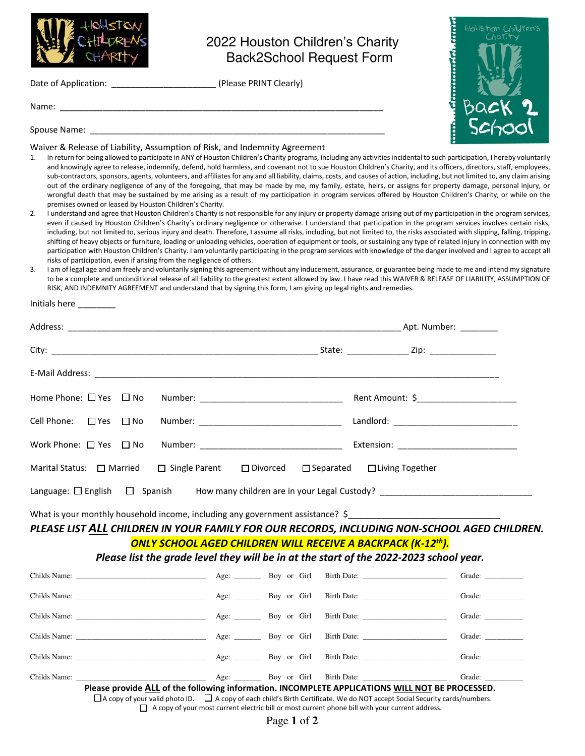

## 2022 Houston Children's Charity Back2School Request Form

toUston

Adaptable to a factor

Lillrone

Date of Application: \_\_\_\_\_\_\_\_\_\_\_\_\_\_\_\_\_\_\_\_\_\_\_\_\_\_\_\_\_\_\_\_ (Please PRINT Clearly)

Name: \_\_\_\_\_\_\_\_\_\_\_\_\_\_\_\_\_\_\_\_\_\_\_\_\_\_\_\_\_\_\_\_\_\_\_\_\_\_\_\_\_\_\_\_\_\_\_\_\_\_\_\_\_\_\_\_\_\_\_\_\_\_\_\_\_\_\_\_

Spouse Name:

Initials here \_\_\_\_\_\_\_\_

Waiver & Release of Liability, Assumption of Risk, and Indemnity Agreement

- 1. In return for being allowed to participate in ANY of Houston Children's Charity programs, including any activities incidental to such participation, I hereby voluntarily and knowingly agree to release, indemnify, defend, hold harmless, and covenant not to sue Houston Children's Charity, and its officers, directors, staff, employees, sub-contractors, sponsors, agents, volunteers, and affiliates for any and all liability, claims, costs, and causes of action, including, but not limited to, any claim arising out of the ordinary negligence of any of the foregoing, that may be made by me, my family, estate, heirs, or assigns for property damage, personal injury, or wrongful death that may be sustained by me arising as a result of my participation in program services offered by Houston Children's Charity, or while on the premises owned or leased by Houston Children's Charity.
- 2. I understand and agree that Houston Children's Charity is not responsible for any injury or property damage arising out of my participation in the program services, even if caused by Houston Children's Charity's ordinary negligence or otherwise. I understand that participation in the program services involves certain risks, including, but not limited to, serious injury and death. Therefore, I assume all risks, including, but not limited to, the risks associated with slipping, falling, tripping, shifting of heavy objects or furniture, loading or unloading vehicles, operation of equipment or tools, or sustaining any type of related injury in connection with my participation with Houston Children's Charity. I am voluntarily participating in the program services with knowledge of the danger involved and I agree to accept all risks of participation, even if arising from the negligence of others.
- I am of legal age and am freely and voluntarily signing this agreement without any inducement, assurance, or guarantee being made to me and intend my signature to be a complete and unconditional release of all liability to the greatest extent allowed by law. I have read this WAIVER & RELEASE OF LIABILITY, ASSUMPTION OF RISK, AND INDEMNITY AGREEMENT and understand that by signing this form, I am giving up legal rights and remedies.

|                                                                                              | Marital Status: □ Married □ Single Parent □ Divorced □ Separated □ Living Together |  |  |
|----------------------------------------------------------------------------------------------|------------------------------------------------------------------------------------|--|--|
|                                                                                              |                                                                                    |  |  |
| What is your monthly household income, including any government assistance? \$               |                                                                                    |  |  |
| PLEASE LIST ALL CHILDREN IN YOUR FAMILY FOR OUR RECORDS, INCLUDING NON-SCHOOL AGED CHILDREN. |                                                                                    |  |  |
| <b>ONLY SCHOOL AGED CHILDREN WILL RECEIVE A BACKPACK (K-12<sup>th</sup>).</b>                |                                                                                    |  |  |
| Please list the grade level they will be in at the start of the 2022-2023 school year.       |                                                                                    |  |  |

## Childs Name: \_\_\_\_\_\_\_\_\_\_\_\_\_\_\_\_\_\_\_\_\_\_\_\_\_\_\_\_\_\_\_\_\_\_ Age: \_\_\_\_\_\_\_ Boy or Girl Birth Date: \_\_\_\_\_\_\_\_\_\_\_\_\_\_\_\_\_\_\_\_\_\_ Grade: \_\_\_\_\_\_\_\_\_\_ Childs Name: \_\_\_\_\_\_\_\_\_\_\_\_\_\_\_\_\_\_\_\_\_\_\_\_\_\_\_\_\_\_\_\_\_\_ Age: \_\_\_\_\_\_\_ Boy or Girl Birth Date: \_\_\_\_\_\_\_\_\_\_\_\_\_\_\_\_\_\_\_\_\_\_ Grade: \_\_\_\_\_\_\_\_\_\_ Childs Name: Childs Name: Childs Name: Childs Name:  $\Delta \text{ge:}$  Boy or Girl Birth Date:  $\Delta \text{ge:}$  Grade:  $\Delta \text{ge:}$ Childs Name: \_\_\_\_\_\_\_\_\_\_\_\_\_\_\_\_\_\_\_\_\_\_\_\_\_\_\_\_\_\_\_\_\_\_ Age: \_\_\_\_\_\_\_ Boy or Girl Birth Date: \_\_\_\_\_\_\_\_\_\_\_\_\_\_\_\_\_\_\_\_\_\_ Grade: \_\_\_\_\_\_\_\_\_\_ Childs Name: \_\_\_\_\_\_\_\_\_\_\_\_\_\_\_\_\_\_\_\_\_\_\_\_\_\_\_\_\_\_\_\_\_\_ Age: \_\_\_\_\_\_\_ Boy or Girl Birth Date: \_\_\_\_\_\_\_\_\_\_\_\_\_\_\_\_\_\_\_\_\_\_ Grade: \_\_\_\_\_\_\_\_\_\_ Childs Name: \_\_\_\_\_\_\_\_\_\_\_\_\_\_\_\_\_\_\_\_\_\_\_\_\_\_\_\_\_\_\_\_\_\_ Age: \_\_\_\_\_\_\_ Boy or Girl Birth Date: \_\_\_\_\_\_\_\_\_\_\_\_\_\_\_\_\_\_\_\_\_\_ Grade: \_\_\_\_\_\_\_\_\_\_ **Please provide ALL of the following information. INCOMPLETE APPLICATIONS WILL NOT BE PROCESSED.**

 $\Box$  A copy of your valid photo ID.  $\Box$  A copy of each child's Birth Certificate. We do NOT accept Social Security cards/numbers.  $\Box$  A copy of your most current electric bill or most current phone bill with your current address.